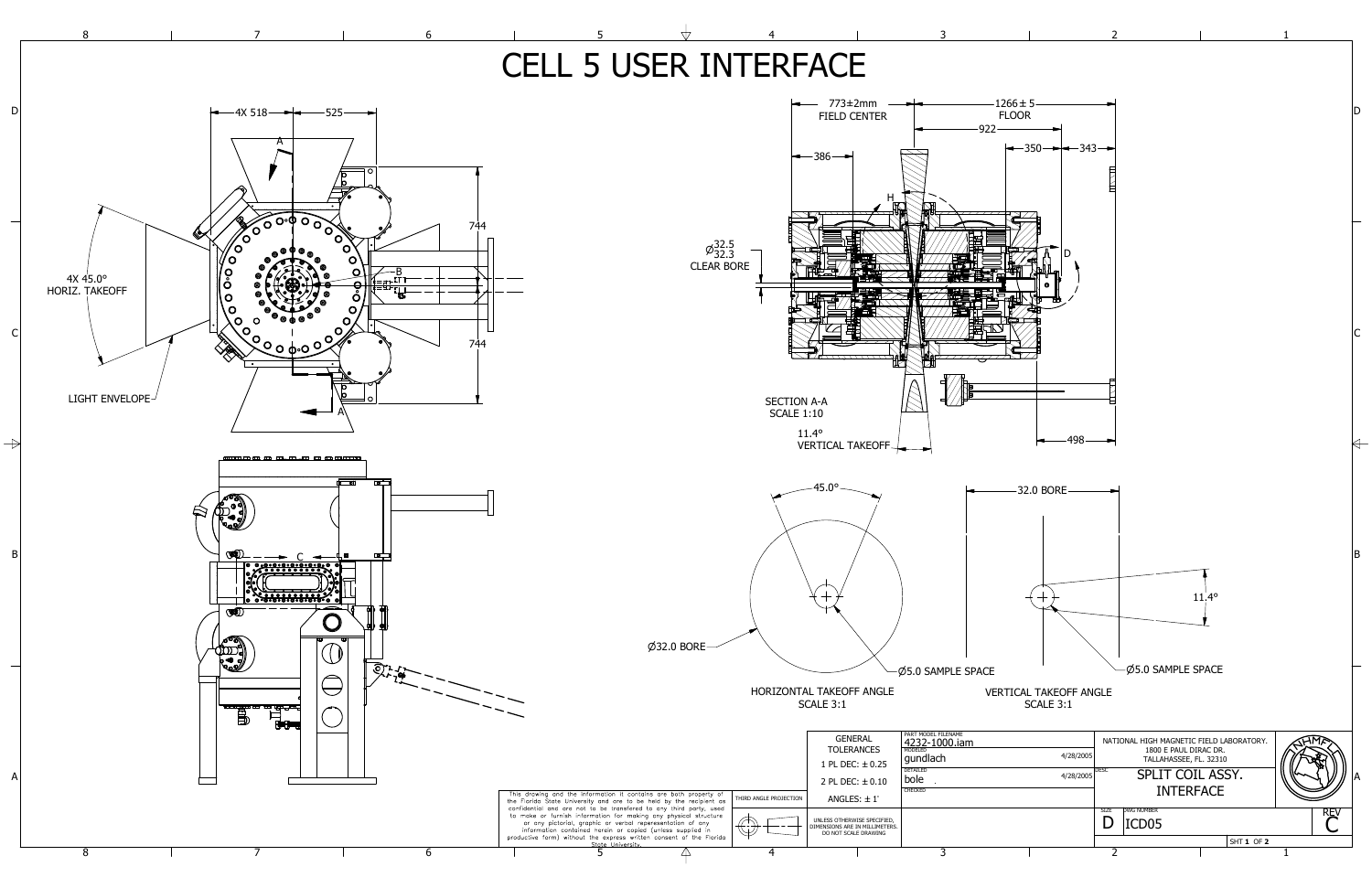